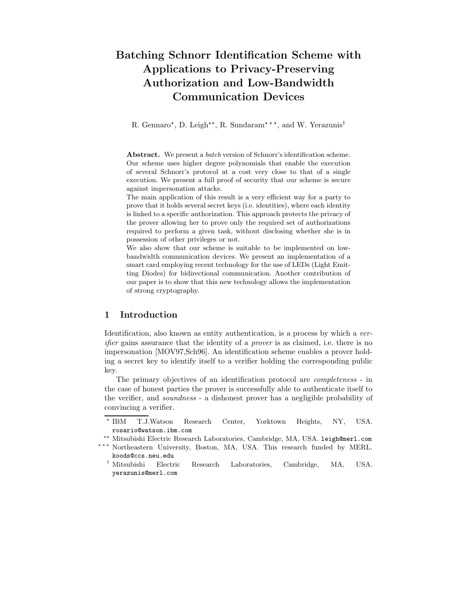# Batching Schnorr Identification Scheme with Applications to Privacy-Preserving Authorization and Low-Bandwidth Communication Devices

R. Gennaro\*, D. Leigh\*\*, R. Sundaram\*\*\*, and W. Yerazunis<sup>†</sup>

Abstract. We present a batch version of Schnorr's identification scheme. Our scheme uses higher degree polynomials that enable the execution of several Schnorr's protocol at a cost very close to that of a single execution. We present a full proof of security that our scheme is secure against impersonation attacks.

The main application of this result is a very efficient way for a party to prove that it holds several secret keys (i.e. identities), where each identity is linked to a specific authorization. This approach protects the privacy of the prover allowing her to prove only the required set of authorizations required to perform a given task, without disclosing whether she is in possession of other privileges or not.

We also show that our scheme is suitable to be implemented on lowbandwidth communication devices. We present an implementation of a smart card employing recent technology for the use of LEDs (Light Emitting Diodes) for bidirectional communication. Another contribution of our paper is to show that this new technology allows the implementation of strong cryptography.

## 1 Introduction

Identification, also known as entity authentication, is a process by which a verifier gains assurance that the identity of a prover is as claimed, i.e. there is no impersonation [MOV97,Sch96]. An identification scheme enables a prover holding a secret key to identify itself to a verifier holding the corresponding public key.

The primary objectives of an identification protocol are completeness - in the case of honest parties the prover is successfully able to authenticate itself to the verifier, and soundness - a dishonest prover has a negligible probability of convincing a verifier.

 $*$  IBM T.J.Watson Research Center, Yorktown Heights, NY, USA. rosario@watson.ibm.com

<sup>??</sup> Mitsubishi Electric Research Laboratories, Cambridge, MA, USA. leigh@merl.com

Northeastern University, Boston, MA, USA. This research funded by MERL. koods@ccs.neu.edu

<sup>†</sup> Mitsubishi Electric Research Laboratories, Cambridge, MA, USA. yerazunis@merl.com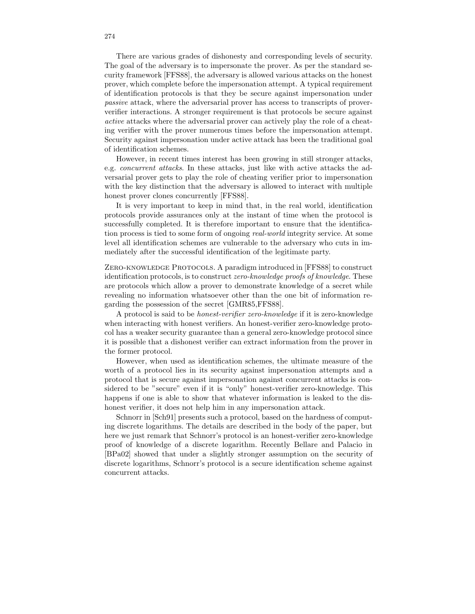There are various grades of dishonesty and corresponding levels of security. The goal of the adversary is to impersonate the prover. As per the standard security framework [FFS88], the adversary is allowed various attacks on the honest prover, which complete before the impersonation attempt. A typical requirement of identification protocols is that they be secure against impersonation under passive attack, where the adversarial prover has access to transcripts of proververifier interactions. A stronger requirement is that protocols be secure against active attacks where the adversarial prover can actively play the role of a cheating verifier with the prover numerous times before the impersonation attempt. Security against impersonation under active attack has been the traditional goal of identification schemes.

However, in recent times interest has been growing in still stronger attacks, e.g. concurrent attacks. In these attacks, just like with active attacks the adversarial prover gets to play the role of cheating verifier prior to impersonation with the key distinction that the adversary is allowed to interact with multiple honest prover clones concurrently [FFS88].

It is very important to keep in mind that, in the real world, identification protocols provide assurances only at the instant of time when the protocol is successfully completed. It is therefore important to ensure that the identification process is tied to some form of ongoing *real-world* integrity service. At some level all identification schemes are vulnerable to the adversary who cuts in immediately after the successful identification of the legitimate party.

ZERO-KNOWLEDGE PROTOCOLS. A paradigm introduced in [FFS88] to construct identification protocols, is to construct zero-knowledge proofs of knowledge. These are protocols which allow a prover to demonstrate knowledge of a secret while revealing no information whatsoever other than the one bit of information regarding the possession of the secret [GMR85,FFS88].

A protocol is said to be honest-verifier zero-knowledge if it is zero-knowledge when interacting with honest verifiers. An honest-verifier zero-knowledge protocol has a weaker security guarantee than a general zero-knowledge protocol since it is possible that a dishonest verifier can extract information from the prover in the former protocol.

However, when used as identification schemes, the ultimate measure of the worth of a protocol lies in its security against impersonation attempts and a protocol that is secure against impersonation against concurrent attacks is considered to be "secure" even if it is "only" honest-verifier zero-knowledge. This happens if one is able to show that whatever information is leaked to the dishonest verifier, it does not help him in any impersonation attack.

Schnorr in [Sch91] presents such a protocol, based on the hardness of computing discrete logarithms. The details are described in the body of the paper, but here we just remark that Schnorr's protocol is an honest-verifier zero-knowledge proof of knowledge of a discrete logarithm. Recently Bellare and Palacio in [BPa02] showed that under a slightly stronger assumption on the security of discrete logarithms, Schnorr's protocol is a secure identification scheme against concurrent attacks.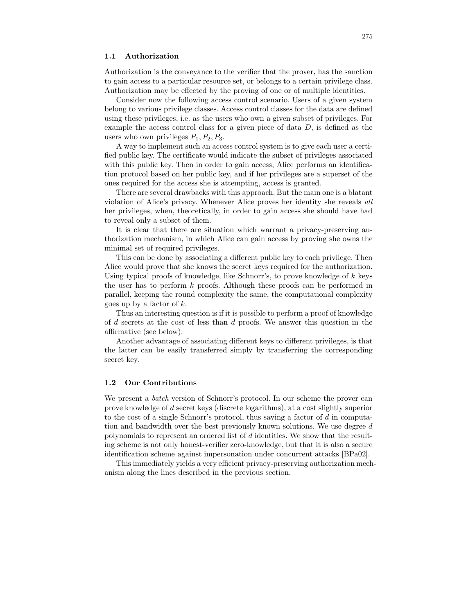#### 1.1 Authorization

Authorization is the conveyance to the verifier that the prover, has the sanction to gain access to a particular resource set, or belongs to a certain privilege class. Authorization may be effected by the proving of one or of multiple identities.

Consider now the following access control scenario. Users of a given system belong to various privilege classes. Access control classes for the data are defined using these privileges, i.e. as the users who own a given subset of privileges. For example the access control class for a given piece of data  $D$ , is defined as the users who own privileges  $P_1$ ,  $P_2$ ,  $P_3$ .

A way to implement such an access control system is to give each user a certified public key. The certificate would indicate the subset of privileges associated with this public key. Then in order to gain access, Alice performs an identification protocol based on her public key, and if her privileges are a superset of the ones required for the access she is attempting, access is granted.

There are several drawbacks with this approach. But the main one is a blatant violation of Alice's privacy. Whenever Alice proves her identity she reveals all her privileges, when, theoretically, in order to gain access she should have had to reveal only a subset of them.

It is clear that there are situation which warrant a privacy-preserving authorization mechanism, in which Alice can gain access by proving she owns the minimal set of required privileges.

This can be done by associating a different public key to each privilege. Then Alice would prove that she knows the secret keys required for the authorization. Using typical proofs of knowledge, like Schnorr's, to prove knowledge of  $k$  keys the user has to perform  $k$  proofs. Although these proofs can be performed in parallel, keeping the round complexity the same, the computational complexity goes up by a factor of  $k$ .

Thus an interesting question is if it is possible to perform a proof of knowledge of d secrets at the cost of less than d proofs. We answer this question in the affirmative (see below).

Another advantage of associating different keys to different privileges, is that the latter can be easily transferred simply by transferring the corresponding secret key.

## 1.2 Our Contributions

We present a *batch* version of Schnorr's protocol. In our scheme the prover can prove knowledge of d secret keys (discrete logarithms), at a cost slightly superior to the cost of a single Schnorr's protocol, thus saving a factor of d in computation and bandwidth over the best previously known solutions. We use degree  $d$ polynomials to represent an ordered list of d identities. We show that the resulting scheme is not only honest-verifier zero-knowledge, but that it is also a secure identification scheme against impersonation under concurrent attacks [BPa02].

This immediately yields a very efficient privacy-preserving authorization mechanism along the lines described in the previous section.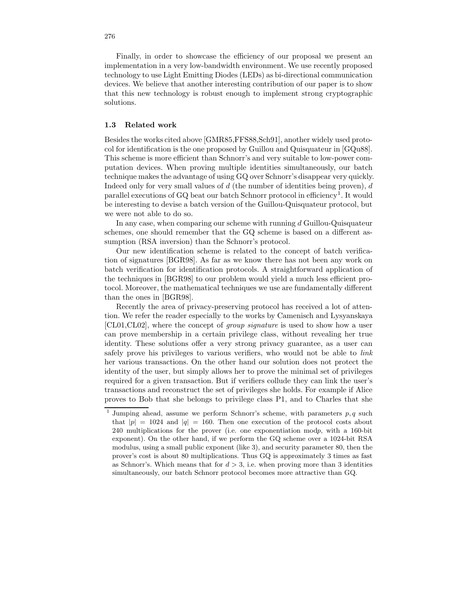Finally, in order to showcase the efficiency of our proposal we present an implementation in a very low-bandwidth environment. We use recently proposed technology to use Light Emitting Diodes (LEDs) as bi-directional communication devices. We believe that another interesting contribution of our paper is to show that this new technology is robust enough to implement strong cryptographic solutions.

## 1.3 Related work

Besides the works cited above [GMR85,FFS88,Sch91], another widely used protocol for identification is the one proposed by Guillou and Quisquateur in [GQu88]. This scheme is more efficient than Schnorr's and very suitable to low-power computation devices. When proving multiple identities simultaneously, our batch technique makes the advantage of using GQ over Schnorr's disappear very quickly. Indeed only for very small values of  $d$  (the number of identities being proven),  $d$ parallel executions of GQ beat our batch Schnorr protocol in efficiency<sup>1</sup>. It would be interesting to devise a batch version of the Guillou-Quisquateur protocol, but we were not able to do so.

In any case, when comparing our scheme with running d Guillou-Quisquateur schemes, one should remember that the GQ scheme is based on a different assumption (RSA inversion) than the Schnorr's protocol.

Our new identification scheme is related to the concept of batch verification of signatures [BGR98]. As far as we know there has not been any work on batch verification for identification protocols. A straightforward application of the techniques in [BGR98] to our problem would yield a much less efficient protocol. Moreover, the mathematical techniques we use are fundamentally different than the ones in [BGR98].

Recently the area of privacy-preserving protocol has received a lot of attention. We refer the reader especially to the works by Camenisch and Lysyanskaya [CL01, CL02], where the concept of *group signature* is used to show how a user can prove membership in a certain privilege class, without revealing her true identity. These solutions offer a very strong privacy guarantee, as a user can safely prove his privileges to various verifiers, who would not be able to *link* her various transactions. On the other hand our solution does not protect the identity of the user, but simply allows her to prove the minimal set of privileges required for a given transaction. But if verifiers collude they can link the user's transactions and reconstruct the set of privileges she holds. For example if Alice proves to Bob that she belongs to privilege class P1, and to Charles that she

<sup>&</sup>lt;sup>1</sup> Jumping ahead, assume we perform Schnorr's scheme, with parameters  $p, q$  such that  $|p| = 1024$  and  $|q| = 160$ . Then one execution of the protocol costs about 240 multiplications for the prover (i.e. one exponentiation modp, with a 160-bit exponent). On the other hand, if we perform the GQ scheme over a 1024-bit RSA modulus, using a small public exponent (like 3), and security parameter 80, then the prover's cost is about 80 multiplications. Thus GQ is approximately 3 times as fast as Schnorr's. Which means that for  $d > 3$ , i.e. when proving more than 3 identities simultaneously, our batch Schnorr protocol becomes more attractive than GQ.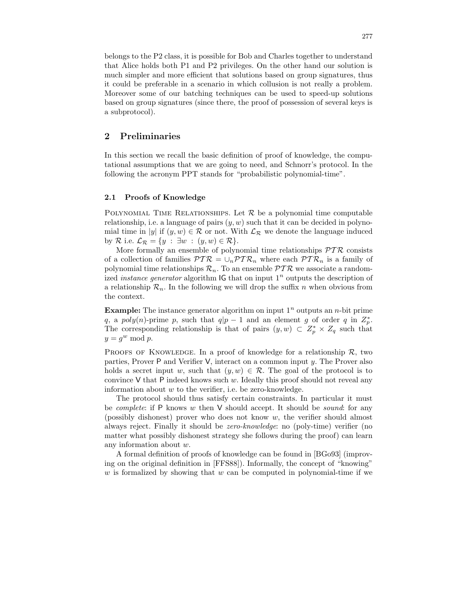belongs to the P2 class, it is possible for Bob and Charles together to understand that Alice holds both P1 and P2 privileges. On the other hand our solution is much simpler and more efficient that solutions based on group signatures, thus it could be preferable in a scenario in which collusion is not really a problem. Moreover some of our batching techniques can be used to speed-up solutions based on group signatures (since there, the proof of possession of several keys is a subprotocol).

## 2 Preliminaries

In this section we recall the basic definition of proof of knowledge, the computational assumptions that we are going to need, and Schnorr's protocol. In the following the acronym PPT stands for "probabilistic polynomial-time".

## 2.1 Proofs of Knowledge

POLYNOMIAL TIME RELATIONSHIPS. Let  $\mathcal R$  be a polynomial time computable relationship, i.e. a language of pairs  $(y, w)$  such that it can be decided in polynomial time in |y| if  $(y, w) \in \mathcal{R}$  or not. With  $\mathcal{L}_{\mathcal{R}}$  we denote the language induced by R i.e.  $\mathcal{L}_{\mathcal{R}} = \{y : \exists w : (y, w) \in \mathcal{R}\}.$ 

More formally an ensemble of polynomial time relationships  $\mathcal{PTR}$  consists of a collection of families  $\mathcal{PTR} = \cup_n \mathcal{PTR}_n$  where each  $\mathcal{PTR}_n$  is a family of polynomial time relationships  $\mathcal{R}_n$ . To an ensemble  $\mathcal{PTR}$  we associate a randomized *instance generator* algorithm  $\textsf{IG}$  that on input  $1^n$  outputs the description of a relationship  $\mathcal{R}_n$ . In the following we will drop the suffix n when obvious from the context.

**Example:** The instance generator algorithm on input  $1<sup>n</sup>$  outputs an *n*-bit prime q, a poly(n)-prime p, such that  $q|p-1$  and an element g of order q in  $Z_p^*$ . The corresponding relationship is that of pairs  $(y, w) \subset Z_p^* \times Z_q$  such that  $y = g^w \bmod p.$ 

PROOFS OF KNOWLEDGE. In a proof of knowledge for a relationship  $\mathcal{R}$ , two parties, Prover P and Verifier V, interact on a common input y. The Prover also holds a secret input w, such that  $(y, w) \in \mathcal{R}$ . The goal of the protocol is to convince  $V$  that  $P$  indeed knows such  $w$ . Ideally this proof should not reveal any information about  $w$  to the verifier, i.e. be zero-knowledge.

The protocol should thus satisfy certain constraints. In particular it must be *complete*: if  $P$  knows  $w$  then  $V$  should accept. It should be *sound*: for any (possibly dishonest) prover who does not know  $w$ , the verifier should almost always reject. Finally it should be zero-knowledge: no (poly-time) verifier (no matter what possibly dishonest strategy she follows during the proof) can learn any information about w.

A formal definition of proofs of knowledge can be found in [BGo93] (improving on the original definition in [FFS88]). Informally, the concept of "knowing" w is formalized by showing that w can be computed in polynomial-time if we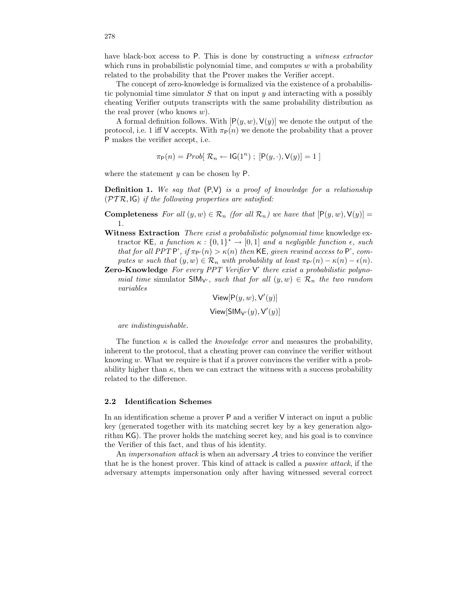have black-box access to P. This is done by constructing a *witness extractor* which runs in probabilistic polynomial time, and computes  $w$  with a probability related to the probability that the Prover makes the Verifier accept.

The concept of zero-knowledge is formalized via the existence of a probabilistic polynomial time simulator  $S$  that on input  $y$  and interacting with a possibly cheating Verifier outputs transcripts with the same probability distribution as the real prover (who knows  $w$ ).

A formal definition follows. With  $[P(y, w), V(y)]$  we denote the output of the protocol, i.e. 1 iff V accepts. With  $\pi_P(n)$  we denote the probability that a prover P makes the verifier accept, i.e.

$$
\pi_{\mathsf{P}}(n) = \mathit{Prob}[\ \mathcal{R}_n \leftarrow \mathsf{IG}(1^n) \ ; \ [\mathsf{P}(y, \cdot), \mathsf{V}(y)] = 1 \ ]
$$

where the statement  $y$  can be chosen by  $P$ .

**Definition 1.** We say that  $(P, V)$  is a proof of knowledge for a relationship  $(\mathcal{PTR}, \mathsf{IG})$  if the following properties are satisfied:

**Completeness** For all  $(y, w) \in \mathcal{R}_n$  (for all  $\mathcal{R}_n$ ) we have that  $[P(y, w), V(y)] =$ 1.

Witness Extraction *There exist a probabilistic polynomial time* knowledge extractor KE, a function  $\kappa: \{0,1\}^* \to [0,1]$  and a negligible function  $\epsilon$ , such that for all PPT P', if  $\pi_{P}(n) > \kappa(n)$  then KE, given rewind access to P', computes w such that  $(y, w) \in \mathcal{R}_n$  with probability at least  $\pi_{\mathsf{P}'}(n) - \kappa(n) - \epsilon(n)$ .

**Zero-Knowledge** For every PPT Verifier V' there exist a probabilistic polynomial time simulator  $\text{SIM}_{V'}$ , such that for all  $(y, w) \in \mathcal{R}_n$  the two random variables

$$
\mathsf{View}[P(y, w), \mathsf{V}'(y)]
$$
  
View[SIM<sub>V'</sub>(y),  $\mathsf{V}'(y)$ ]

are indistinguishable.

The function  $\kappa$  is called the *knowledge error* and measures the probability, inherent to the protocol, that a cheating prover can convince the verifier without knowing w. What we require is that if a prover convinces the verifier with a probability higher than  $\kappa$ , then we can extract the witness with a success probability related to the difference.

## 2.2 Identification Schemes

In an identification scheme a prover P and a verifier V interact on input a public key (generated together with its matching secret key by a key generation algorithm KG). The prover holds the matching secret key, and his goal is to convince the Verifier of this fact, and thus of his identity.

An *impersonation attack* is when an adversary  $A$  tries to convince the verifier that he is the honest prover. This kind of attack is called a passive attack, if the adversary attempts impersonation only after having witnessed several correct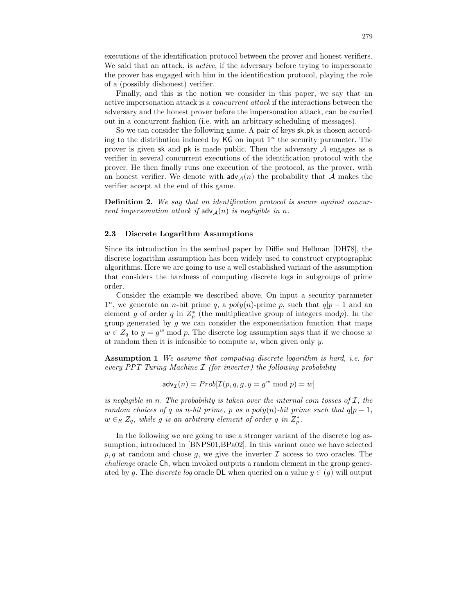executions of the identification protocol between the prover and honest verifiers. We said that an attack, is *active*, if the adversary before trying to impersonate the prover has engaged with him in the identification protocol, playing the role of a (possibly dishonest) verifier.

Finally, and this is the notion we consider in this paper, we say that an active impersonation attack is a concurrent attack if the interactions between the adversary and the honest prover before the impersonation attack, can be carried out in a concurrent fashion (i.e. with an arbitrary scheduling of messages).

So we can consider the following game. A pair of keys sk,pk is chosen according to the distribution induced by  $KG$  on input  $1<sup>n</sup>$  the security parameter. The prover is given sk and pk is made public. Then the adversary  $A$  engages as a verifier in several concurrent executions of the identification protocol with the prover. He then finally runs one execution of the protocol, as the prover, with an honest verifier. We denote with  $\mathsf{adv}_{\mathcal{A}}(n)$  the probability that A makes the verifier accept at the end of this game.

**Definition 2.** We say that an identification protocol is secure against concurrent impersonation attack if  $\mathsf{adv}_{\mathcal{A}}(n)$  is negligible in n.

## 2.3 Discrete Logarithm Assumptions

Since its introduction in the seminal paper by Diffie and Hellman [DH78], the discrete logarithm assumption has been widely used to construct cryptographic algorithms. Here we are going to use a well established variant of the assumption that considers the hardness of computing discrete logs in subgroups of prime order.

Consider the example we described above. On input a security parameter  $1^n$ , we generate an *n*-bit prime q, a poly(n)-prime p, such that  $q|p-1$  and an element g of order q in  $Z_p^*$  (the multiplicative group of integers modp). In the group generated by  $g$  we can consider the exponentiation function that maps  $w \in Z_q$  to  $y = g^w$  mod p. The discrete log assumption says that if we choose w at random then it is infeasible to compute  $w$ , when given only  $y$ .

Assumption 1 We assume that computing discrete logarithm is hard, i.e. for every  $PPT$  Turing Machine  $I$  (for inverter) the following probability

$$
adv_{\mathcal{I}}(n) = Prob[\mathcal{I}(p, q, g, y = g^{w} \bmod p) = w]
$$

is negligible in n. The probability is taken over the internal coin tosses of  $I$ , the random choices of q as n-bit prime, p as a poly(n)-bit prime such that  $q|p-1$ ,  $w \in_R Z_q$ , while g is an arbitrary element of order q in  $Z_p^*$ .

In the following we are going to use a stronger variant of the discrete log assumption, introduced in [BNPS01,BPa02]. In this variant once we have selected p, q at random and chose q, we give the inverter  $\mathcal I$  access to two oracles. The challenge oracle Ch, when invoked outputs a random element in the group generated by g. The *discrete log* oracle **DL** when queried on a value  $y \in (g)$  will output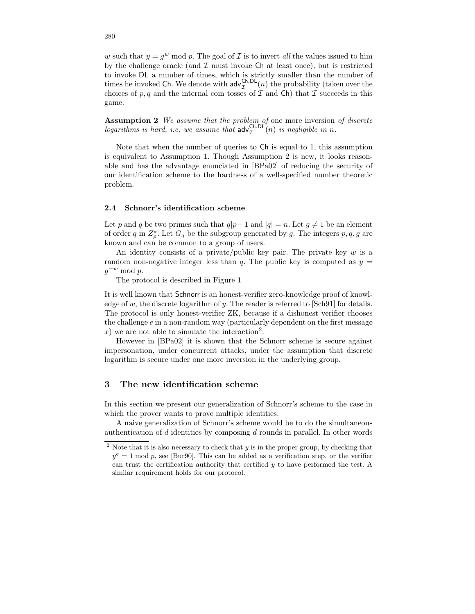w such that  $y = g^w \mod p$ . The goal of  $\mathcal I$  is to invert all the values issued to him by the challenge oracle (and  $\mathcal I$  must invoke Ch at least once), but is restricted to invoke DL a number of times, which is strictly smaller than the number of times he invoked Ch. We denote with  $\mathsf{adv}_{\mathcal{I}}^{\mathsf{Ch},\mathsf{DL}}(n)$  the probability (taken over the choices of p, q and the internal coin tosses of  $\mathcal I$  and  $\mathsf{Ch}\n$  that  $\mathcal I$  succeeds in this game.

**Assumption 2** We assume that the problem of one more inversion of discrete logarithms is hard, i.e. we assume that  $\text{adv}_{\mathcal{I}}^{\text{Ch,DL}}(n)$  is negligible in n.

Note that when the number of queries to Ch is equal to 1, this assumption is equivalent to Assumption 1. Though Assumption 2 is new, it looks reasonable and has the advantage enunciated in [BPa02] of reducing the security of our identification scheme to the hardness of a well-specified number theoretic problem.

#### 2.4 Schnorr's identification scheme

Let p and q be two primes such that  $q|p-1$  and  $|q|=n$ . Let  $q\neq 1$  be an element of order q in  $Z_p^*$ . Let  $G_q$  be the subgroup generated by g. The integers  $p, q, g$  are known and can be common to a group of users.

An identity consists of a private/public key pair. The private key  $w$  is a random non-negative integer less than q. The public key is computed as  $y =$  $g^{-w} \bmod p$ .

The protocol is described in Figure 1

It is well known that Schnorr is an honest-verifier zero-knowledge proof of knowledge of w, the discrete logarithm of y. The reader is referred to  $[Sch91]$  for details. The protocol is only honest-verifier ZK, because if a dishonest verifier chooses the challenge e in a non-random way (particularly dependent on the first message x) we are not able to simulate the interaction<sup>2</sup>.

However in [BPa02] it is shown that the Schnorr scheme is secure against impersonation, under concurrent attacks, under the assumption that discrete logarithm is secure under one more inversion in the underlying group.

## 3 The new identification scheme

In this section we present our generalization of Schnorr's scheme to the case in which the prover wants to prove multiple identities.

A naive generalization of Schnorr's scheme would be to do the simultaneous authentication of d identities by composing d rounds in parallel. In other words

 $2$  Note that it is also necessary to check that  $y$  is in the proper group, by checking that  $y^q = 1 \text{ mod } p$ , see [Bur90]. This can be added as a verification step, or the verifier can trust the certification authority that certified y to have performed the test. A similar requirement holds for our protocol.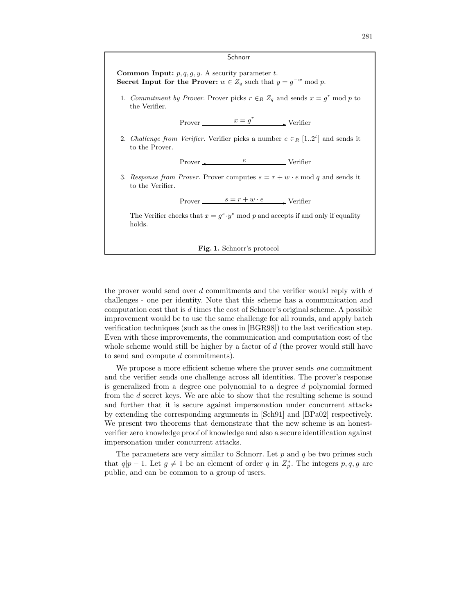

the prover would send over  $d$  commitments and the verifier would reply with  $d$ challenges - one per identity. Note that this scheme has a communication and computation cost that is  $d$  times the cost of Schnorr's original scheme. A possible improvement would be to use the same challenge for all rounds, and apply batch verification techniques (such as the ones in [BGR98]) to the last verification step. Even with these improvements, the communication and computation cost of the whole scheme would still be higher by a factor of  $d$  (the prover would still have to send and compute d commitments).

We propose a more efficient scheme where the prover sends *one* commitment and the verifier sends one challenge across all identities. The prover's response is generalized from a degree one polynomial to a degree d polynomial formed from the d secret keys. We are able to show that the resulting scheme is sound and further that it is secure against impersonation under concurrent attacks by extending the corresponding arguments in [Sch91] and [BPa02] respectively. We present two theorems that demonstrate that the new scheme is an honestverifier zero knowledge proof of knowledge and also a secure identification against impersonation under concurrent attacks.

The parameters are very similar to Schnorr. Let  $p$  and  $q$  be two primes such that  $q|p-1$ . Let  $g \neq 1$  be an element of order q in  $Z_p^*$ . The integers  $p, q, g$  are public, and can be common to a group of users.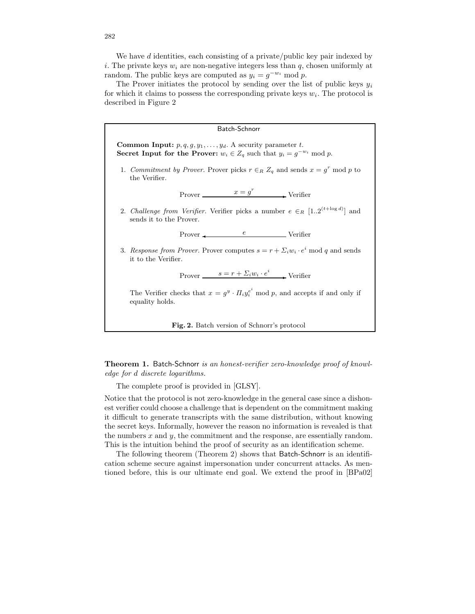We have d identities, each consisting of a private/public key pair indexed by i. The private keys  $w_i$  are non-negative integers less than q, chosen uniformly at random. The public keys are computed as  $y_i = g^{-w_i} \mod p$ .

The Prover initiates the protocol by sending over the list of public keys  $y_i$ for which it claims to possess the corresponding private keys  $w_i$ . The protocol is described in Figure 2



Theorem 1. Batch-Schnorr is an honest-verifier zero-knowledge proof of knowledge for d discrete logarithms.

The complete proof is provided in [GLSY].

Notice that the protocol is not zero-knowledge in the general case since a dishonest verifier could choose a challenge that is dependent on the commitment making it difficult to generate transcripts with the same distribution, without knowing the secret keys. Informally, however the reason no information is revealed is that the numbers  $x$  and  $y$ , the commitment and the response, are essentially random. This is the intuition behind the proof of security as an identification scheme.

The following theorem (Theorem 2) shows that Batch-Schnorr is an identification scheme secure against impersonation under concurrent attacks. As mentioned before, this is our ultimate end goal. We extend the proof in [BPa02]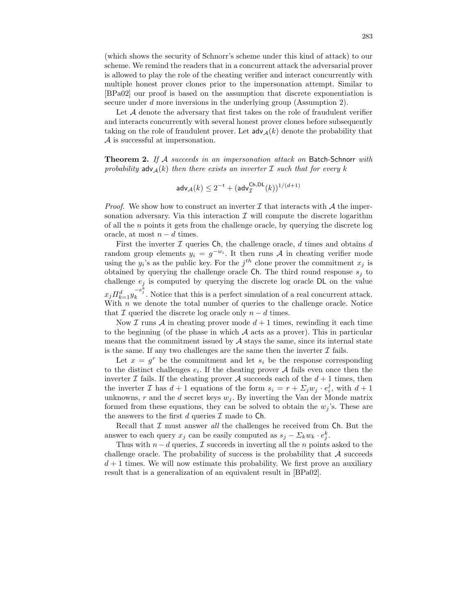(which shows the security of Schnorr's scheme under this kind of attack) to our scheme. We remind the readers that in a concurrent attack the adversarial prover is allowed to play the role of the cheating verifier and interact concurrently with multiple honest prover clones prior to the impersonation attempt. Similar to [BPa02] our proof is based on the assumption that discrete exponentiation is secure under d more inversions in the underlying group (Assumption 2).

Let  $A$  denote the adversary that first takes on the role of fraudulent verifier and interacts concurrently with several honest prover clones before subsequently taking on the role of fraudulent prover. Let  $adv_{\mathcal{A}}(k)$  denote the probability that A is successful at impersonation.

Theorem 2. If A succeeds in an impersonation attack on Batch-Schnorr with probability  $\text{adv}_{\mathcal{A}}(k)$  then there exists an inverter  $\mathcal I$  such that for every k

$$
\mathsf{adv}_{\mathcal{A}}(k) \leq 2^{-t} + (\mathsf{adv}_{\mathcal{I}}^{\mathsf{Ch}, \mathsf{DL}}(k))^{1/(d+1)}
$$

*Proof.* We show how to construct an inverter  $\mathcal I$  that interacts with  $\mathcal A$  the impersonation adversary. Via this interaction  $\mathcal I$  will compute the discrete logarithm of all the n points it gets from the challenge oracle, by querying the discrete log oracle, at most  $n - d$  times.

First the inverter  $\mathcal I$  queries Ch, the challenge oracle,  $d$  times and obtains  $d$ random group elements  $y_i = g^{-w_i}$ . It then runs A in cheating verifier mode using the  $y_i$ 's as the public key. For the  $j^{th}$  clone prover the commitment  $x_j$  is obtained by querying the challenge oracle Ch. The third round response  $s_i$  to challenge  $e_j$  is computed by querying the discrete log oracle DL on the value  $x_j \prod_{k=1}^d y_k^{-e_j^k}$ . Notice that this is a perfect simulation of a real concurrent attack. With  $n$  we denote the total number of queries to the challenge oracle. Notice that I queried the discrete log oracle only  $n - d$  times.

Now I runs A in cheating prover mode  $d+1$  times, rewinding it each time to the beginning (of the phase in which  $A$  acts as a prover). This in particular means that the commitment issued by  $A$  stays the same, since its internal state is the same. If any two challenges are the same then the inverter  $\mathcal I$  fails.

Let  $x = g^r$  be the commitment and let  $s_i$  be the response corresponding to the distinct challenges  $e_i$ . If the cheating prover A fails even once then the inverter  $\mathcal I$  fails. If the cheating prover  $\mathcal A$  succeeds each of the  $d+1$  times, then the inverter  $\mathcal I$  has  $d+1$  equations of the form  $s_i = r + \sum_j w_j \cdot e_i^j$ , with  $d+1$ unknowns, r and the d secret keys  $w_j$ . By inverting the Van der Monde matrix formed from these equations, they can be solved to obtain the  $w_j$ 's. These are the answers to the first d queries  $\mathcal I$  made to Ch.

Recall that  $\mathcal I$  must answer all the challenges he received from  $\mathsf{Ch}.$  But the answer to each query  $x_j$  can be easily computed as  $s_j - \sum_k w_k \cdot e_j^k$ .

Thus with  $n - d$  queries,  $\mathcal I$  succeeds in inverting all the n points asked to the challenge oracle. The probability of success is the probability that  $\mathcal A$  succeeds  $d+1$  times. We will now estimate this probability. We first prove an auxiliary result that is a generalization of an equivalent result in [BPa02].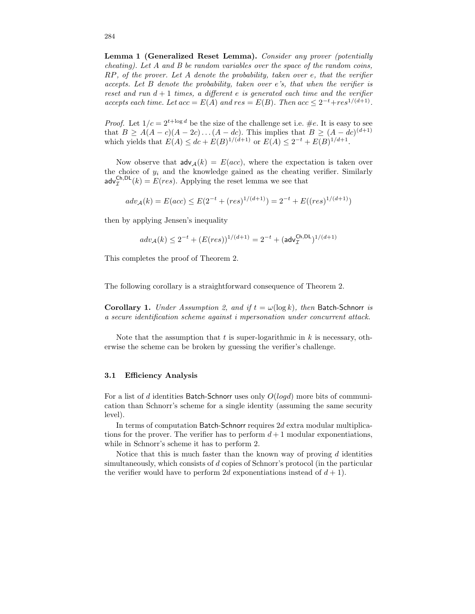Lemma 1 (Generalized Reset Lemma). Consider any prover (potentially cheating). Let A and B be random variables over the space of the random coins, RP, of the prover. Let A denote the probability, taken over e, that the verifier accepts. Let B denote the probability, taken over e's, that when the verifier is reset and run  $d + 1$  times, a different e is generated each time and the verifier accepts each time. Let  $acc = E(A)$  and  $res = E(B)$ . Then  $acc \leq 2^{-t} + res^{1/(d+1)}$ .

*Proof.* Let  $1/c = 2^{t+\log d}$  be the size of the challenge set i.e. #e. It is easy to see that  $B \ge A(A - c)(A - 2c) \dots (A - dc)$ . This implies that  $B \ge (A - dc)^{(d+1)}$ which yields that  $E(A) \leq dc + E(B)^{1/(d+1)}$  or  $E(A) \leq 2^{-t} + E(B)^{1/(d+1)}$ .

Now observe that  $adv_{\mathcal{A}}(k) = E(ac)$ , where the expectation is taken over the choice of  $y_i$  and the knowledge gained as the cheating verifier. Similarly  $\mathsf{adv}_{\mathcal{I}}^{\mathsf{Ch},\mathsf{DL}}(k) = E(res)$ . Applying the reset lemma we see that

$$
adv_{\mathcal{A}}(k) = E(ac) \le E(2^{-t} + (res)^{1/(d+1)}) = 2^{-t} + E((res)^{1/(d+1)})
$$

then by applying Jensen's inequality

$$
adv_{\mathcal{A}}(k) \leq 2^{-t} + (E(res))^{1/(d+1)} = 2^{-t} + (\mathsf{adv}_{\mathcal{I}}^{\mathsf{Ch},\mathsf{DL}})^{1/(d+1)}
$$

This completes the proof of Theorem 2.

The following corollary is a straightforward consequence of Theorem 2.

**Corollary 1.** Under Assumption 2, and if  $t = \omega(\log k)$ , then Batch-Schnorr is a secure identification scheme against i mpersonation under concurrent attack.

Note that the assumption that  $t$  is super-logarithmic in  $k$  is necessary, otherwise the scheme can be broken by guessing the verifier's challenge.

## 3.1 Efficiency Analysis

For a list of d identities Batch-Schnorr uses only  $O(log d)$  more bits of communication than Schnorr's scheme for a single identity (assuming the same security level).

In terms of computation Batch-Schnorr requires 2d extra modular multiplications for the prover. The verifier has to perform  $d+1$  modular exponentiations, while in Schnorr's scheme it has to perform 2.

Notice that this is much faster than the known way of proving  $d$  identities simultaneously, which consists of d copies of Schnorr's protocol (in the particular the verifier would have to perform 2d exponentiations instead of  $d + 1$ ).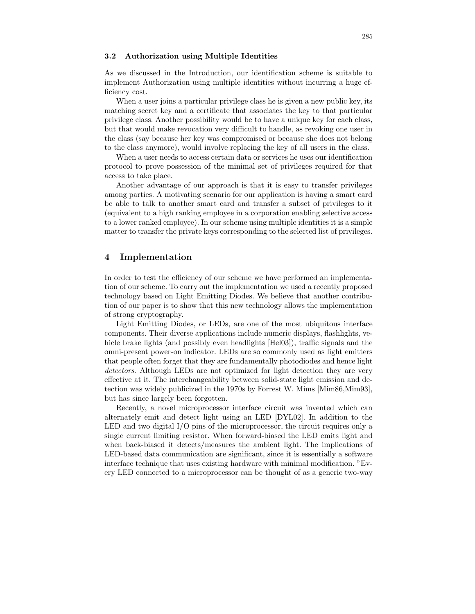## 3.2 Authorization using Multiple Identities

As we discussed in the Introduction, our identification scheme is suitable to implement Authorization using multiple identities without incurring a huge efficiency cost.

When a user joins a particular privilege class he is given a new public key, its matching secret key and a certificate that associates the key to that particular privilege class. Another possibility would be to have a unique key for each class, but that would make revocation very difficult to handle, as revoking one user in the class (say because her key was compromised or because she does not belong to the class anymore), would involve replacing the key of all users in the class.

When a user needs to access certain data or services he uses our identification protocol to prove possession of the minimal set of privileges required for that access to take place.

Another advantage of our approach is that it is easy to transfer privileges among parties. A motivating scenario for our application is having a smart card be able to talk to another smart card and transfer a subset of privileges to it (equivalent to a high ranking employee in a corporation enabling selective access to a lower ranked employee). In our scheme using multiple identities it is a simple matter to transfer the private keys corresponding to the selected list of privileges.

## 4 Implementation

In order to test the efficiency of our scheme we have performed an implementation of our scheme. To carry out the implementation we used a recently proposed technology based on Light Emitting Diodes. We believe that another contribution of our paper is to show that this new technology allows the implementation of strong cryptography.

Light Emitting Diodes, or LEDs, are one of the most ubiquitous interface components. Their diverse applications include numeric displays, flashlights, vehicle brake lights (and possibly even headlights [Hel03]), traffic signals and the omni-present power-on indicator. LEDs are so commonly used as light emitters that people often forget that they are fundamentally photodiodes and hence light detectors. Although LEDs are not optimized for light detection they are very effective at it. The interchangeability between solid-state light emission and detection was widely publicized in the 1970s by Forrest W. Mims [Mim86,Mim93], but has since largely been forgotten.

Recently, a novel microprocessor interface circuit was invented which can alternately emit and detect light using an LED [DYL02]. In addition to the LED and two digital I/O pins of the microprocessor, the circuit requires only a single current limiting resistor. When forward-biased the LED emits light and when back-biased it detects/measures the ambient light. The implications of LED-based data communication are significant, since it is essentially a software interface technique that uses existing hardware with minimal modification. "Every LED connected to a microprocessor can be thought of as a generic two-way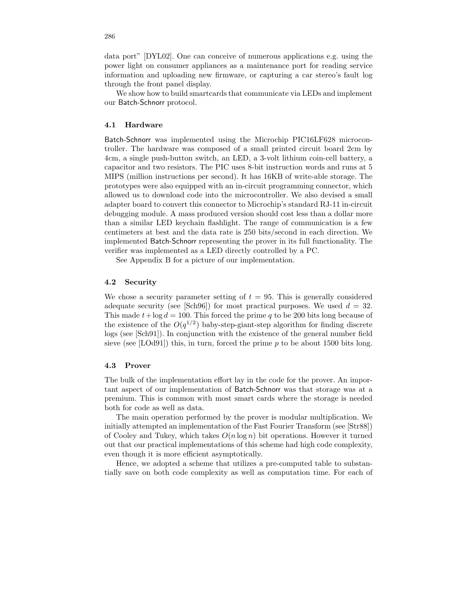data port" [DYL02]. One can conceive of numerous applications e.g. using the power light on consumer appliances as a maintenance port for reading service information and uploading new firmware, or capturing a car stereo's fault log through the front panel display.

We show how to build smartcards that communicate via LEDs and implement our Batch-Schnorr protocol.

## 4.1 Hardware

Batch-Schnorr was implemented using the Microchip PIC16LF628 microcontroller. The hardware was composed of a small printed circuit board 2cm by 4cm, a single push-button switch, an LED, a 3-volt lithium coin-cell battery, a capacitor and two resistors. The PIC uses 8-bit instruction words and runs at 5 MIPS (million instructions per second). It has 16KB of write-able storage. The prototypes were also equipped with an in-circuit programming connector, which allowed us to download code into the microcontroller. We also devised a small adapter board to convert this connector to Microchip's standard RJ-11 in-circuit debugging module. A mass produced version should cost less than a dollar more than a similar LED keychain flashlight. The range of communication is a few centimeters at best and the data rate is 250 bits/second in each direction. We implemented Batch-Schnorr representing the prover in its full functionality. The verifier was implemented as a LED directly controlled by a PC.

See Appendix B for a picture of our implementation.

#### 4.2 Security

We chose a security parameter setting of  $t = 95$ . This is generally considered adequate security (see [Sch96]) for most practical purposes. We used  $d = 32$ . This made  $t + \log d = 100$ . This forced the prime q to be 200 bits long because of the existence of the  $O(q^{1/2})$  baby-step-giant-step algorithm for finding discrete logs (see [Sch91]). In conjunction with the existence of the general number field sieve (see [LOd91]) this, in turn, forced the prime p to be about 1500 bits long.

## 4.3 Prover

The bulk of the implementation effort lay in the code for the prover. An important aspect of our implementation of Batch-Schnorr was that storage was at a premium. This is common with most smart cards where the storage is needed both for code as well as data.

The main operation performed by the prover is modular multiplication. We initially attempted an implementation of the Fast Fourier Transform (see [Str88]) of Cooley and Tukey, which takes  $O(n \log n)$  bit operations. However it turned out that our practical implementations of this scheme had high code complexity, even though it is more efficient asymptotically.

Hence, we adopted a scheme that utilizes a pre-computed table to substantially save on both code complexity as well as computation time. For each of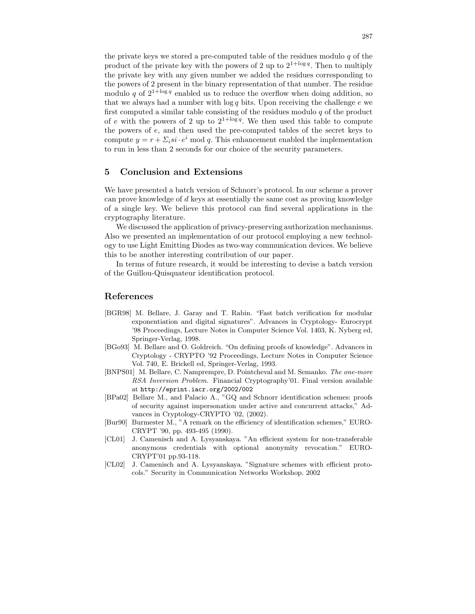the private keys we stored a pre-computed table of the residues modulo  $q$  of the product of the private key with the powers of 2 up to  $2^{1+\log q}$ . Then to multiply the private key with any given number we added the residues corresponding to the powers of 2 present in the binary representation of that number. The residue modulo q of  $2^{1+\log q}$  enabled us to reduce the overflow when doing addition, so that we always had a number with  $\log q$  bits. Upon receiving the challenge  $e$  we first computed a similar table consisting of the residues modulo  $q$  of the product of e with the powers of 2 up to  $2^{1+\log q}$ . We then used this table to compute the powers of e, and then used the pre-computed tables of the secret keys to compute  $y = r + \sum_i s_i \cdot e^i \mod q$ . This enhancement enabled the implementation to run in less than 2 seconds for our choice of the security parameters.

## 5 Conclusion and Extensions

We have presented a batch version of Schnorr's protocol. In our scheme a prover can prove knowledge of d keys at essentially the same cost as proving knowledge of a single key. We believe this protocol can find several applications in the cryptography literature.

We discussed the application of privacy-preserving authorization mechanisms. Also we presented an implementation of our protocol employing a new technology to use Light Emitting Diodes as two-way communication devices. We believe this to be another interesting contribution of our paper.

In terms of future research, it would be interesting to devise a batch version of the Guillou-Quisquateur identification protocol.

## References

- [BGR98] M. Bellare, J. Garay and T. Rabin. "Fast batch verification for modular exponentiation and digital signatures". Advances in Cryptology- Eurocrypt '98 Proceedings, Lecture Notes in Computer Science Vol. 1403, K. Nyberg ed, Springer-Verlag, 1998.
- [BGo93] M. Bellare and O. Goldreich. "On defining proofs of knowledge". Advances in Cryptology - CRYPTO '92 Proceedings, Lecture Notes in Computer Science Vol. 740, E. Brickell ed, Springer-Verlag, 1993.
- [BNPS01] M. Bellare, C. Namprempre, D. Pointcheval and M. Semanko. The one-more RSA Inversion Problem. Financial Cryptography'01. Final version available at http://eprint.iacr.org/2002/002
- [BPa02] Bellare M., and Palacio A., "GQ and Schnorr identification schemes: proofs of security against impersonation under active and concurrent attacks," Advances in Cryptology-CRYPTO '02, (2002).
- [Bur90] Burmester M., "A remark on the efficiency of identification schemes," EURO-CRYPT '90, pp. 493-495 (1990).
- [CL01] J. Camenisch and A. Lysyanskaya. "An efficient system for non-transferable anonymous credentials with optional anonymity revocation." EURO-CRYPT'01 pp.93-118.
- [CL02] J. Camenisch and A. Lysyanskaya. "Signature schemes with efficient protocols." Security in Communication Networks Workshop. 2002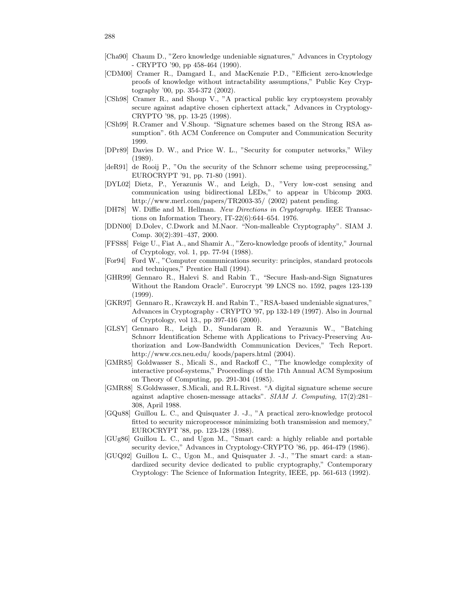- [Cha90] Chaum D., "Zero knowledge undeniable signatures," Advances in Cryptology - CRYPTO '90, pp 458-464 (1990).
- [CDM00] Cramer R., Damgard I., and MacKenzie P.D., "Efficient zero-knowledge proofs of knowledge without intractability assumptions," Public Key Cryptography '00, pp. 354-372 (2002).
- [CSh98] Cramer R., and Shoup V., "A practical public key cryptosystem provably secure against adaptive chosen ciphertext attack," Advances in Cryptology-CRYPTO '98, pp. 13-25 (1998).
- [CSh99] R.Cramer and V.Shoup. "Signature schemes based on the Strong RSA assumption". 6th ACM Conference on Computer and Communication Security 1999.
- [DPr89] Davies D. W., and Price W. L., "Security for computer networks," Wiley (1989).
- [deR91] de Rooij P., "On the security of the Schnorr scheme using preprocessing," EUROCRYPT '91, pp. 71-80 (1991).
- [DYL02] Dietz, P., Yerazunis W., and Leigh, D., "Very low-cost sensing and communication using bidirectional LEDs," to appear in Ubicomp 2003. http://www.merl.com/papers/TR2003-35/ (2002) patent pending.
- [DH78] W. Diffie and M. Hellman. New Directions in Cryptography. IEEE Transactions on Information Theory, IT-22(6):644–654. 1976.
- [DDN00] D.Dolev, C.Dwork and M.Naor. "Non-malleable Cryptography". SIAM J. Comp. 30(2):391–437, 2000.
- [FFS88] Feige U., Fiat A., and Shamir A., "Zero-knowledge proofs of identity," Journal of Cryptology, vol. 1, pp. 77-94 (1988).
- [For94] Ford W., "Computer communications security: principles, standard protocols and techniques," Prentice Hall (1994).
- [GHR99] Gennaro R., Halevi S. and Rabin T., "Secure Hash-and-Sign Signatures Without the Random Oracle". Eurocrypt '99 LNCS no. 1592, pages 123-139 (1999).
- [GKR97] Gennaro R., Krawczyk H. and Rabin T., "RSA-based undeniable signatures," Advances in Cryptography - CRYPTO '97, pp 132-149 (1997). Also in Journal of Cryptology, vol 13., pp 397-416 (2000).
- [GLSY] Gennaro R., Leigh D., Sundaram R. and Yerazunis W., "Batching Schnorr Identification Scheme with Applications to Privacy-Preserving Authorization and Low-Bandwidth Communication Devices," Tech Report. http://www.ccs.neu.edu/ koods/papers.html (2004).
- [GMR85] Goldwasser S., Micali S., and Rackoff C., "The knowledge complexity of interactive proof-systems," Proceedings of the 17th Annual ACM Symposium on Theory of Computing, pp. 291-304 (1985).
- [GMR88] S.Goldwasser, S.Micali, and R.L.Rivest. "A digital signature scheme secure against adaptive chosen-message attacks". SIAM J. Computing, 17(2):281– 308, April 1988.
- [GQu88] Guillou L. C., and Quisquater J. -J., "A practical zero-knowledge protocol fitted to security microprocessor minimizing both transmission and memory," EUROCRYPT '88, pp. 123-128 (1988).
- [GUg86] Guillou L. C., and Ugon M., "Smart card: a highly reliable and portable security device," Advances in Cryptology-CRYPTO '86, pp. 464-479 (1986).
- [GUQ92] Guillou L. C., Ugon M., and Quisquater J. -J., "The smart card: a standardized security device dedicated to public cryptography," Contemporary Cryptology: The Science of Information Integrity, IEEE, pp. 561-613 (1992).